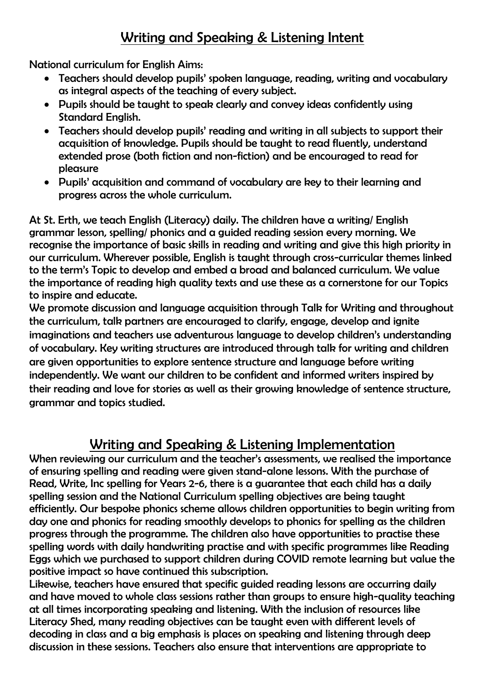## Writing and Speaking & Listening Intent

National curriculum for English Aims:

- Teachers should develop pupils' spoken language, reading, writing and vocabulary as integral aspects of the teaching of every subject.
- Pupils should be taught to speak clearly and convey ideas confidently using Standard English.
- Teachers should develop pupils' reading and writing in all subjects to support their acquisition of knowledge. Pupils should be taught to read fluently, understand extended prose (both fiction and non-fiction) and be encouraged to read for pleasure
- Pupils' acquisition and command of vocabulary are key to their learning and progress across the whole curriculum.

At St. Erth, we teach English (Literacy) daily. The children have a writing/ English grammar lesson, spelling/ phonics and a guided reading session every morning. We recognise the importance of basic skills in reading and writing and give this high priority in our curriculum. Wherever possible, English is taught through cross-curricular themes linked to the term's Topic to develop and embed a broad and balanced curriculum. We value the importance of reading high quality texts and use these as a cornerstone for our Topics to inspire and educate.

We promote discussion and language acquisition through Talk for Writing and throughout the curriculum, talk partners are encouraged to clarify, engage, develop and ignite imaginations and teachers use adventurous language to develop children's understanding of vocabulary. Key writing structures are introduced through talk for writing and children are given opportunities to explore sentence structure and language before writing independently. We want our children to be confident and informed writers inspired by their reading and love for stories as well as their growing knowledge of sentence structure, grammar and topics studied.

## Writing and Speaking & Listening Implementation

When reviewing our curriculum and the teacher's assessments, we realised the importance of ensuring spelling and reading were given stand-alone lessons. With the purchase of Read, Write, Inc spelling for Years 2-6, there is a guarantee that each child has a daily spelling session and the National Curriculum spelling objectives are being taught efficiently. Our bespoke phonics scheme allows children opportunities to begin writing from day one and phonics for reading smoothly develops to phonics for spelling as the children progress through the programme. The children also have opportunities to practise these spelling words with daily handwriting practise and with specific programmes like Reading Eggs which we purchased to support children during COVID remote learning but value the positive impact so have continued this subscription.

Likewise, teachers have ensured that specific guided reading lessons are occurring daily and have moved to whole class sessions rather than groups to ensure high-quality teaching at all times incorporating speaking and listening. With the inclusion of resources like Literacy Shed, many reading objectives can be taught even with different levels of decoding in class and a big emphasis is places on speaking and listening through deep discussion in these sessions. Teachers also ensure that interventions are appropriate to